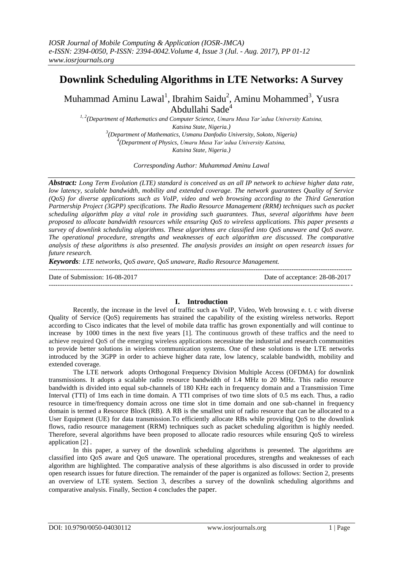## **Downlink Scheduling Algorithms in LTE Networks: A Survey**

Muhammad Aminu Lawal<sup>1</sup>, Ibrahim Saidu<sup>2</sup>, Aminu Mohammed<sup>3</sup>, Yusra Abdullahi Sade<sup>4</sup>

*1, 2(Department of Mathematics and Computer Science, Umaru Musa Yar'adua University Katsina, Katsina State, Nigeria.) 3 (Department of Mathematics, Usmanu Danfodio University, Sokoto, Nigeria) 4 (Department of Physics, Umaru Musa Yar'adua University Katsina, Katsina State, Nigeria.)* 

*Corresponding Author: Muhammad Aminu Lawal*

*Abstract: Long Term Evolution (LTE) standard is conceived as an all IP network to achieve higher data rate, low latency, scalable bandwidth, mobility and extended coverage. The network guarantees Quality of Service (QoS) for diverse applications such as VoIP, video and web browsing according to the Third Generation Partnership Project (3GPP) specifications. The Radio Resource Management (RRM) techniques such as packet scheduling algorithm play a vital role in providing such guarantees. Thus, several algorithms have been proposed to allocate bandwidth resources while ensuring QoS to wireless applications. This paper presents a survey of downlink scheduling algorithms. These algorithms are classified into QoS unaware and QoS aware. The operational procedure, strengths and weaknesses of each algorithm are discussed. The comparative analysis of these algorithms is also presented. The analysis provides an insight on open research issues for future research.*

*Keywords: LTE networks, QoS aware, QoS unaware, Radio Resource Management.*

Date of Submission: 16-08-2017 Date of acceptance: 28-08-2017

---------------------------------------------------------------------------------------------------------------------------------------

---------------------------------------------------------------------------------------------------------------------------------------

#### **I. Introduction**

Recently, the increase in the level of traffic such as VoIP, Video, Web browsing e. t. c with diverse Quality of Service (QoS) requirements has strained the capability of the existing wireless networks. Report according to Cisco indicates that the level of mobile data traffic has grown exponentially and will continue to increase by 1000 times in the next five years [1]. The continuous growth of these traffics and the need to achieve required QoS of the emerging wireless applications necessitate the industrial and research communities to provide better solutions in wireless communication systems. One of these solutions is the LTE networks introduced by the 3GPP in order to achieve higher data rate, low latency, scalable bandwidth, mobility and extended coverage.

The LTE network adopts Orthogonal Frequency Division Multiple Access (OFDMA) for downlink transmissions. It adopts a scalable radio resource bandwidth of 1.4 MHz to 20 MHz. This radio resource bandwidth is divided into equal sub-channels of 180 KHz each in frequency domain and a Transmission Time Interval (TTI) of 1ms each in time domain. A TTI comprises of two time slots of 0.5 ms each. Thus, a radio resource in time/frequency domain across one time slot in time domain and one sub-channel in frequency domain is termed a Resource Block (RB). A RB is the smallest unit of radio resource that can be allocated to a User Equipment (UE) for data transmission.To efficiently allocate RBs while providing QoS to the downlink flows, radio resource management (RRM) techniques such as packet scheduling algorithm is highly needed. Therefore, several algorithms have been proposed to allocate radio resources while ensuring QoS to wireless application [2] .

In this paper, a survey of the downlink scheduling algorithms is presented. The algorithms are classified into QoS aware and QoS unaware. The operational procedures, strengths and weaknesses of each algorithm are highlighted. The comparative analysis of these algorithms is also discussed in order to provide open research issues for future direction. The remainder of the paper is organized as follows: Section 2, presents an overview of LTE system. Section 3, describes a survey of the downlink scheduling algorithms and comparative analysis. Finally, Section 4 concludes the paper.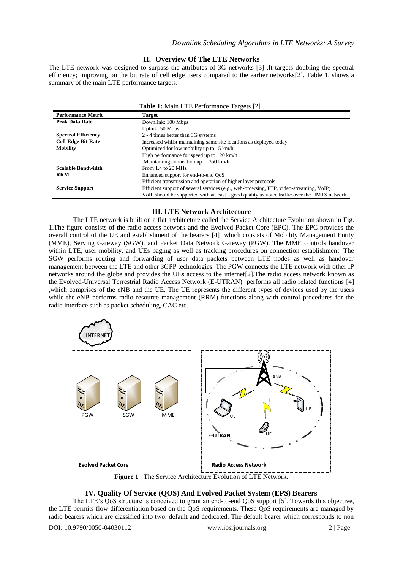#### **II. Overview Of The LTE Networks**

The LTE network was designed to surpass the attributes of 3G networks [3] .It targets doubling the spectral efficiency; improving on the bit rate of cell edge users compared to the earlier networks[2]. Table 1. shows a summary of the main LTE performance targets.

| <b>Table 1:</b> Main LTE Performance Targets [2]. |                                                                                              |  |  |  |
|---------------------------------------------------|----------------------------------------------------------------------------------------------|--|--|--|
| <b>Performance Metric</b>                         | <b>Target</b>                                                                                |  |  |  |
| <b>Peak Data Rate</b>                             | Downlink: 100 Mbps                                                                           |  |  |  |
|                                                   | Uplink: 50 Mbps                                                                              |  |  |  |
| <b>Spectral Efficiency</b>                        | 2 - 4 times better than 3G systems                                                           |  |  |  |
| <b>Cell-Edge Bit-Rate</b>                         | Increased whilst maintaining same site locations as deployed today                           |  |  |  |
| <b>Mobility</b>                                   | Optimized for low mobility up to 15 km/h                                                     |  |  |  |
|                                                   | High performance for speed up to 120 km/h                                                    |  |  |  |
|                                                   | Maintaining connection up to 350 km/h                                                        |  |  |  |
| <b>Scalable Bandwidth</b>                         | From $1.4$ to $20$ MHz                                                                       |  |  |  |
| <b>RRM</b>                                        | Enhanced support for end-to-end OoS                                                          |  |  |  |
|                                                   | Efficient transmission and operation of higher layer protocols                               |  |  |  |
| <b>Service Support</b>                            | Efficient support of several services (e.g., web-browsing, FTP, video-streaming, VoIP)       |  |  |  |
|                                                   | VoIP should be supported with at least a good quality as voice traffic over the UMTS network |  |  |  |

#### **III. LTE Network Architecture**

The LTE network is built on a flat architecture called the Service Architecture Evolution shown in Fig. 1.The figure consists of the radio access network and the Evolved Packet Core (EPC). The EPC provides the overall control of the UE and establishment of the bearers [4] which consists of Mobility Management Entity (MME), Serving Gateway (SGW), and Packet Data Network Gateway (PGW). The MME controls handover within LTE, user mobility, and UEs paging as well as tracking procedures on connection establishment. The SGW performs routing and forwarding of user data packets between LTE nodes as well as handover management between the LTE and other 3GPP technologies. The PGW connects the LTE network with other IP networks around the globe and provides the UEs access to the internet[2].The radio access network known as the Evolved-Universal Terrestrial Radio Access Network (E-UTRAN) performs all radio related functions [4] ,which comprises of the eNB and the UE. The UE represents the different types of devices used by the users while the eNB performs radio resource management (RRM) functions along with control procedures for the radio interface such as packet scheduling, CAC etc.



#### **IV. Quality Of Service (QOS) And Evolved Packet System (EPS) Bearers**

The LTE's QoS structure is conceived to grant an end-to-end QoS support [5]. Towards this objective, the LTE permits flow differentiation based on the QoS requirements. These QoS requirements are managed by radio bearers which are classified into two: default and dedicated. The default bearer which corresponds to non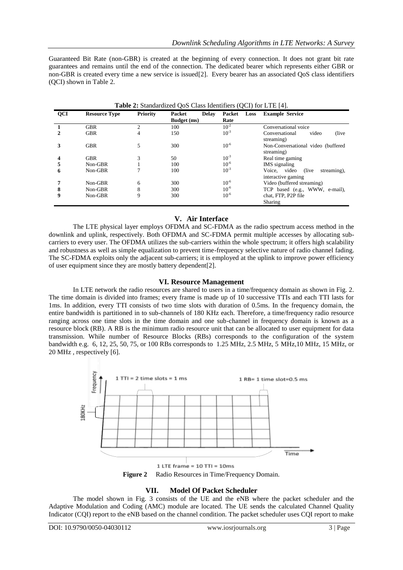Guaranteed Bit Rate (non-GBR) is created at the beginning of every connection. It does not grant bit rate guarantees and remains until the end of the connection. The dedicated bearer which represents either GBR or non-GBR is created every time a new service is issued[2]. Every bearer has an associated QoS class identifiers (QCI) shown in Table 2.

| <b>Table 2:</b> Standardized QoS Class Identifiers (QCI) for $L1E$ [4]. |                      |                 |                        |                |                                                             |  |
|-------------------------------------------------------------------------|----------------------|-----------------|------------------------|----------------|-------------------------------------------------------------|--|
| <b>QCI</b>                                                              | <b>Resource Type</b> | <b>Priority</b> | Packet<br><b>Delay</b> | Loss<br>Packet | <b>Example Service</b>                                      |  |
|                                                                         |                      |                 | Budget (ms)            | Rate           |                                                             |  |
|                                                                         | <b>GBR</b>           | C               | 100                    | $10^{-2}$      | Conversational voice                                        |  |
|                                                                         | <b>GBR</b>           | 4               | 150                    | $10^{-3}$      | video<br>(live)<br>Conversational<br>streaming)             |  |
| 3                                                                       | <b>GBR</b>           | 5               | 300                    | $10^{-6}$      | Non-Conversational video (buffered<br>streaming)            |  |
| 4                                                                       | <b>GBR</b>           | 3               | 50                     | $10^{-3}$      | Real time gaming                                            |  |
| 5                                                                       | Non-GBR              |                 | 100                    | $10^{-6}$      | IMS signaling                                               |  |
| 6                                                                       | Non-GBR              |                 | 100                    | $10^{-3}$      | Voice, video<br>streaming).<br>(live)<br>interactive gaming |  |
|                                                                         | Non-GBR              | 6               | 300                    | $10^{-6}$      | Video (buffered streaming)                                  |  |
| 8                                                                       | Non-GBR              | 8               | 300                    | $10^{-6}$      | TCP based (e.g., WWW, e-mail),                              |  |
| 9                                                                       | Non-GBR              | 9               | 300                    | $10^{-6}$      | chat, FTP, P2P file<br>Sharing                              |  |

| <b>Table 2:</b> Standardized QoS Class Identifiers (QCI) for LTE [4]. |
|-----------------------------------------------------------------------|
|-----------------------------------------------------------------------|

#### **V. Air Interface**

The LTE physical layer employs OFDMA and SC-FDMA as the radio spectrum access method in the downlink and uplink, respectively. Both OFDMA and SC-FDMA permit multiple accesses by allocating subcarriers to every user. The OFDMA utilizes the sub-carriers within the whole spectrum; it offers high scalability and robustness as well as simple equalization to prevent time-frequency selective nature of radio channel fading. The SC-FDMA exploits only the adjacent sub-carriers; it is employed at the uplink to improve power efficiency of user equipment since they are mostly battery dependent[2].

#### **VI. Resource Management**

In LTE network the radio resources are shared to users in a time/frequency domain as shown in Fig. 2. The time domain is divided into frames; every frame is made up of 10 successive TTIs and each TTI lasts for 1ms. In addition, every TTI consists of two time slots with duration of 0.5ms. In the frequency domain, the entire bandwidth is partitioned in to sub-channels of 180 KHz each. Therefore, a time/frequency radio resource ranging across one time slots in the time domain and one sub-channel in frequency domain is known as a resource block (RB). A RB is the minimum radio resource unit that can be allocated to user equipment for data transmission. While number of Resource Blocks (RBs) corresponds to the configuration of the system bandwidth e.g. 6, 12, 25, 50, 75, or 100 RBs corresponds to 1.25 MHz, 2.5 MHz, 5 MHz,10 MHz, 15 MHz, or 20 MHz , respectively [6].



#### **VII. Model Of Packet Scheduler**

The model shown in Fig. 3 consists of the UE and the eNB where the packet scheduler and the Adaptive Modulation and Coding (AMC) module are located. The UE sends the calculated Channel Quality Indicator (CQI) report to the eNB based on the channel condition. The packet scheduler uses CQI report to make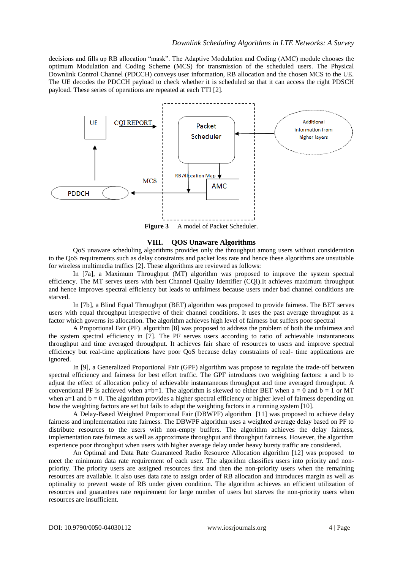decisions and fills up RB allocation "mask". The Adaptive Modulation and Coding (AMC) module chooses the optimum Modulation and Coding Scheme (MCS) for transmission of the scheduled users. The Physical Downlink Control Channel (PDCCH) conveys user information, RB allocation and the chosen MCS to the UE. The UE decodes the PDCCH payload to check whether it is scheduled so that it can access the right PDSCH payload. These series of operations are repeated at each TTI [2].



Figure 3 A model of Packet Scheduler.

#### **VIII. QOS Unaware Algorithms**

QoS unaware scheduling algorithms provides only the throughput among users without consideration to the QoS requirements such as delay constraints and packet loss rate and hence these algorithms are unsuitable for wireless multimedia traffics [2]. These algorithms are reviewed as follows:

In [7a], a Maximum Throughput (MT) algorithm was proposed to improve the system spectral efficiency. The MT serves users with best Channel Quality Identifier (CQI).It achieves maximum throughput and hence improves spectral efficiency but leads to unfairness because users under bad channel conditions are starved.

In [7b], a Blind Equal Throughput (BET) algorithm was proposed to provide fairness. The BET serves users with equal throughput irrespective of their channel conditions. It uses the past average throughput as a factor which governs its allocation. The algorithm achieves high level of fairness but suffers poor spectral

A Proportional Fair (PF) algorithm [8] was proposed to address the problem of both the unfairness and the system spectral efficiency in [7]. The PF serves users according to ratio of achievable instantaneous throughput and time averaged throughput. It achieves fair share of resources to users and improve spectral efficiency but real-time applications have poor QoS because delay constraints of real- time applications are ignored.

In [9], a Generalized Proportional Fair (GPF) algorithm was propose to regulate the trade-off between spectral efficiency and fairness for best effort traffic. The GPF introduces two weighting factors: a and b to adjust the effect of allocation policy of achievable instantaneous throughput and time averaged throughput. A conventional PF is achieved when a=b=1. The algorithm is skewed to either BET when  $a = 0$  and  $b = 1$  or MT when  $a=1$  and  $b=0$ . The algorithm provides a higher spectral efficiency or higher level of fairness depending on how the weighting factors are set but fails to adapt the weighting factors in a running system [10].

A Delay-Based Weighted Proportional Fair (DBWPF) algorithm [11] was proposed to achieve delay fairness and implementation rate fairness. The DBWPF algorithm uses a weighted average delay based on PF to distribute resources to the users with non-empty buffers. The algorithm achieves the delay fairness, implementation rate fairness as well as approximate throughput and throughput fairness. However, the algorithm experience poor throughput when users with higher average delay under heavy bursty traffic are considered.

An Optimal and Data Rate Guaranteed Radio Resource Allocation algorithm [12] was proposed to meet the minimum data rate requirement of each user. The algorithm classifies users into priority and nonpriority. The priority users are assigned resources first and then the non-priority users when the remaining resources are available. It also uses data rate to assign order of RB allocation and introduces margin as well as optimality to prevent waste of RB under given condition. The algorithm achieves an efficient utilization of resources and guarantees rate requirement for large number of users but starves the non-priority users when resources are insufficient.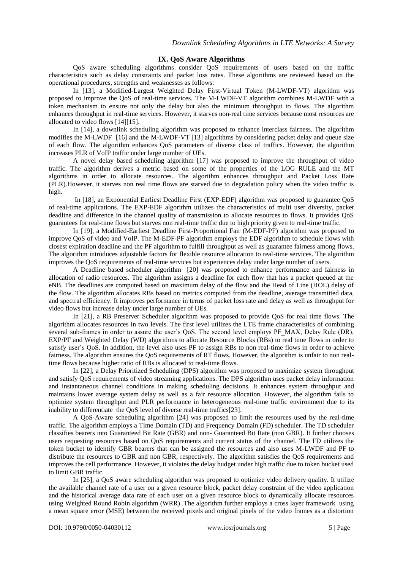#### **IX. QoS Aware Algorithms**

QoS aware scheduling algorithms consider QoS requirements of users based on the traffic characteristics such as delay constraints and packet loss rates. These algorithms are reviewed based on the operational procedures, strengths and weaknesses as follows:

In [13], a Modified-Largest Weighted Delay First-Virtual Token (M-LWDF-VT) algorithm was proposed to improve the QoS of real-time services. The M-LWDF-VT algorithm combines M-LWDF with a token mechanism to ensure not only the delay but also the minimum throughput to flows. The algorithm enhances throughput in real-time services. However, it starves non-real time services because most resources are allocated to video flows [14][15].

In [14], a downlink scheduling algorithm was proposed to enhance interclass fairness. The algorithm modifies the M-LWDF [16] and the M-LWDF-VT [13] algorithms by considering packet delay and queue size of each flow. The algorithm enhances QoS parameters of diverse class of traffics. However, the algorithm increases PLR of VoIP traffic under large number of UEs.

A novel delay based scheduling algorithm [17] was proposed to improve the throughput of video traffic. The algorithm derives a metric based on some of the properties of the LOG RULE and the MT algorithms in order to allocate resources. The algorithm enhances throughput and Packet Loss Rate (PLR).However, it starves non real time flows are starved due to degradation policy when the video traffic is high.

In [18], an Exponential Earliest Deadline First (EXP-EDF) algorithm was proposed to guarantee QoS of real-time applications. The EXP-EDF algorithm utilizes the characteristics of multi user diversity, packet deadline and difference in the channel quality of transmission to allocate resources to flows. It provides QoS guarantees for real-time flows but starves non real-time traffic due to high priority given to real-time traffic.

In [19], a Modified-Earliest Deadline First-Proportional Fair (M-EDF-PF) algorithm was proposed to improve QoS of video and VoIP. The M-EDF-PF algorithm employs the EDF algorithm to schedule flows with closest expiration deadline and the PF algorithm to fulfill throughput as well as guarantee fairness among flows. The algorithm introduces adjustable factors for flexible resource allocation to real-time services. The algorithm improves the QoS requirements of real-time services but experiences delay under large number of users.

A Deadline based scheduler algorithm [20] was proposed to enhance performance and fairness in allocation of radio resources. The algorithm assigns a deadline for each flow that has a packet queued at the eNB. The deadlines are computed based on maximum delay of the flow and the Head of Line (HOL) delay of the flow. The algorithm allocates RBs based on metrics computed from the deadline, average transmitted data, and spectral efficiency. It improves performance in terms of packet loss rate and delay as well as throughput for video flows but increase delay under large number of UEs.

In [21], a RB Preserver Scheduler algorithm was proposed to provide QoS for real time flows. The algorithm allocates resources in two levels. The first level utilizes the LTE frame characteristics of combining several sub-frames in order to assure the user's QoS. The second level employs PF\_MAX, Delay Rule (DR), EXP/PF and Weighted Delay (WD) algorithms to allocate Resource Blocks (RBs) to real time flows in order to satisfy user's QoS. In addition, the level also uses PF to assign RBs to non real-time flows in order to achieve fairness. The algorithm ensures the QoS requirements of RT flows. However, the algorithm is unfair to non realtime flows because higher ratio of RBs is allocated to real-time flows.

In [22], a Delay Prioritized Scheduling (DPS) algorithm was proposed to maximize system throughput and satisfy QoS requirements of video streaming applications. The DPS algorithm uses packet delay information and instantaneous channel conditions in making scheduling decisions. It enhances system throughput and maintains lower average system delay as well as a fair resource allocation. However, the algorithm fails to optimize system throughput and PLR performance in heterogeneous real-time traffic environment due to its inability to differentiate the QoS level of diverse real-time traffics[23].

A QoS-Aware scheduling algorithm [24] was proposed to limit the resources used by the real-time traffic. The algorithm employs a Time Domain (TD) and Frequency Domain (FD) scheduler. The TD scheduler classifies bearers into Guaranteed Bit Rate (GBR) and non- Guaranteed Bit Rate (non GBR). It further chooses users requesting resources based on QoS requirements and current status of the channel. The FD utilizes the token bucket to identify GBR bearers that can be assigned the resources and also uses M-LWDF and PF to distribute the resources to GBR and non GBR, respectively. The algorithm satisfies the QoS requirements and improves the cell performance. However, it violates the delay budget under high traffic due to token bucket used to limit GBR traffic.

In [25], a QoS aware scheduling algorithm was proposed to optimize video delivery quality. It utilize the available channel rate of a user on a given resource block, packet delay constraint of the video application and the historical average data rate of each user on a given resource block to dynamically allocate resources using Weighted Round Robin algorithm (WRR) .The algorithm further employs a cross layer framework using a mean square error (MSE) between the received pixels and original pixels of the video frames as a distortion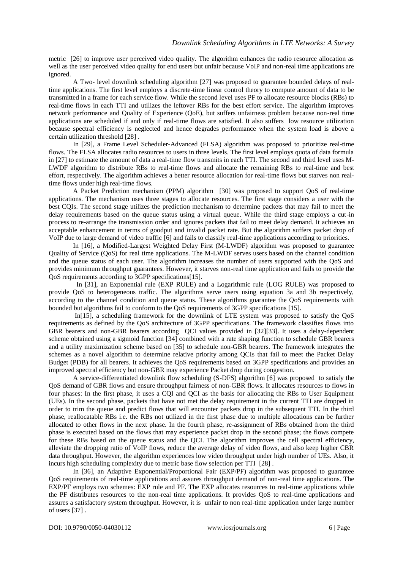metric [26] to improve user perceived video quality. The algorithm enhances the radio resource allocation as well as the user perceived video quality for end users but unfair because VoIP and non-real time applications are ignored.

A Two- level downlink scheduling algorithm [27] was proposed to guarantee bounded delays of realtime applications. The first level employs a discrete-time linear control theory to compute amount of data to be transmitted in a frame for each service flow. While the second level uses PF to allocate resource blocks (RBs) to real-time flows in each TTI and utilizes the leftover RBs for the best effort service. The algorithm improves network performance and Quality of Experience (QoE), but suffers unfairness problem because non-real time applications are scheduled if and only if real-time flows are satisfied. It also suffers low resource utilization because spectral efficiency is neglected and hence degrades performance when the system load is above a certain utilization threshold [28] .

In [29], a Frame Level Scheduler-Advanced (FLSA) algorithm was proposed to prioritize real-time flows. The FLSA allocates radio resources to users in three levels. The first level employs quota of data formula in [27] to estimate the amount of data a real-time flow transmits in each TTI. The second and third level uses M-LWDF algorithm to distribute RBs to real-time flows and allocate the remaining RBs to real-time and best effort, respectively. The algorithm achieves a better resource allocation for real-time flows but starves non realtime flows under high real-time flows.

A Packet Prediction mechanism (PPM) algorithm [30] was proposed to support QoS of real-time applications. The mechanism uses three stages to allocate resources. The first stage considers a user with the best CQIs. The second stage utilizes the prediction mechanism to determine packets that may fail to meet the delay requirements based on the queue status using a virtual queue. While the third stage employs a cut-in process to re-arrange the transmission order and ignores packets that fail to meet delay demand. It achieves an acceptable enhancement in terms of goodput and invalid packet rate. But the algorithm suffers packet drop of VoIP due to large demand of video traffic [6] and fails to classify real-time applications according to priorities.

In [16], a Modified-Largest Weighted Delay First (M-LWDF) algorithm was proposed to guarantee Quality of Service (QoS) for real time applications. The M-LWDF serves users based on the channel condition and the queue status of each user. The algorithm increases the number of users supported with the QoS and provides minimum throughput guarantees. However, it starves non-real time application and fails to provide the QoS requirements according to 3GPP specifications[15].

In [31], an Exponential rule (EXP RULE) and a Logarithmic rule (LOG RULE) was proposed to provide QoS to heterogeneous traffic. The algorithms serve users using equation 3a and 3b respectively, according to the channel condition and queue status. These algorithms guarantee the QoS requirements with bounded but algorithms fail to conform to the QoS requirements of 3GPP specifications [15].

In[15], a scheduling framework for the downlink of LTE system was proposed to satisfy the QoS requirements as defined by the QoS architecture of 3GPP specifications. The framework classifies flows into GBR bearers and non-GBR bearers according QCI values provided in [32][33]. It uses a delay-dependent scheme obtained using a sigmoid function [34] combined with a rate shaping function to schedule GBR bearers and a utility maximization scheme based on [35] to schedule non-GBR bearers. The framework integrates the schemes as a novel algorithm to determine relative priority among QCIs that fail to meet the Packet Delay Budget (PDB) for all bearers. It achieves the QoS requirements based on 3GPP specifications and provides an improved spectral efficiency but non-GBR may experience Packet drop during congestion.

A service-differentiated downlink flow scheduling (S-DFS) algorithm [6] was proposed to satisfy the QoS demand of GBR flows and ensure throughput fairness of non-GBR flows. It allocates resources to flows in four phases: In the first phase, it uses a CQI and QCI as the basis for allocating the RBs to User Equipment (UEs). In the second phase, packets that have not met the delay requirement in the current TTI are dropped in order to trim the queue and predict flows that will encounter packets drop in the subsequent TTI. In the third phase, reallocatable RBs i.e. the RBs not utilized in the first phase due to multiple allocations can be further allocated to other flows in the next phase. In the fourth phase, re-assignment of RBs obtained from the third phase is executed based on the flows that may experience packet drop in the second phase; the flows compete for these RBs based on the queue status and the QCI. The algorithm improves the cell spectral efficiency, alleviate the dropping ratio of VoIP flows, reduce the average delay of video flows, and also keep higher CBR data throughput. However, the algorithm experiences low video throughput under high number of UEs. Also, it incurs high scheduling complexity due to metric base flow selection per TTI [28] .

In [36], an Adaptive Exponential/Proportional Fair (EXP/PF) algorithm was proposed to guarantee QoS requirements of real-time applications and assures throughput demand of non-real time applications. The EXP/PF employs two schemes: EXP rule and PF. The EXP allocates resources to real-time applications while the PF distributes resources to the non-real time applications. It provides QoS to real-time applications and assures a satisfactory system throughput. However, it is unfair to non real-time application under large number of users [37] .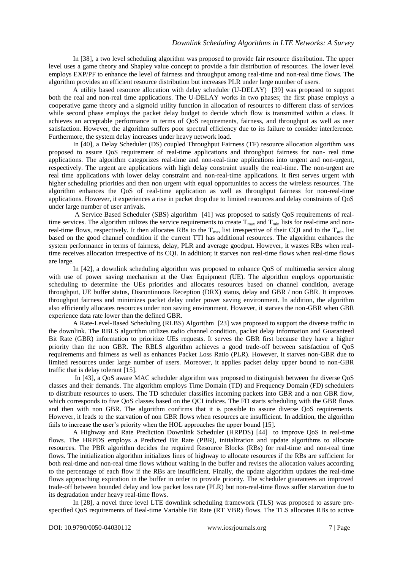In [38], a two level scheduling algorithm was proposed to provide fair resource distribution. The upper level uses a game theory and Shapley value concept to provide a fair distribution of resources. The lower level employs EXP/PF to enhance the level of fairness and throughput among real-time and non-real time flows. The algorithm provides an efficient resource distribution but increases PLR under large number of users.

A utility based resource allocation with delay scheduler (U-DELAY) [39] was proposed to support both the real and non-real time applications. The U-DELAY works in two phases; the first phase employs a cooperative game theory and a sigmoid utility function in allocation of resources to different class of services while second phase employs the packet delay budget to decide which flow is transmitted within a class. It achieves an acceptable performance in terms of QoS requirements, fairness, and throughput as well as user satisfaction. However, the algorithm suffers poor spectral efficiency due to its failure to consider interference. Furthermore, the system delay increases under heavy network load.

In [40], a Delay Scheduler (DS) coupled Throughput Fairness (TF) resource allocation algorithm was proposed to assure QoS requirement of real-time applications and throughput fairness for non- real time applications. The algorithm categorizes real-time and non-real-time applications into urgent and non-urgent, respectively. The urgent are applications with high delay constraint usually the real-time. The non-urgent are real time applications with lower delay constraint and non-real-time applications. It first serves urgent with higher scheduling priorities and then non urgent with equal opportunities to access the wireless resources. The algorithm enhances the QoS of real-time application as well as throughput fairness for non-real-time applications. However, it experiences a rise in packet drop due to limited resources and delay constraints of QoS under large number of user arrivals.

A Service Based Scheduler (SBS) algorithm [41] was proposed to satisfy QoS requirements of realtime services. The algorithm utilizes the service requirements to create  $T_{\text{max}}$  and  $T_{\text{min}}$  lists for real-time and nonreal-time flows, respectively. It then allocates RBs to the  $T_{max}$  list irrespective of their CQI and to the  $T_{min}$  list based on the good channel condition if the current TTI has additional resources. The algorithm enhances the system performance in terms of fairness, delay, PLR and average goodput. However, it wastes RBs when realtime receives allocation irrespective of its CQI. In addition; it starves non real-time flows when real-time flows are large.

In [42], a downlink scheduling algorithm was proposed to enhance QoS of multimedia service along with use of power saving mechanism at the User Equipment (UE). The algorithm employs opportunistic scheduling to determine the UEs priorities and allocates resources based on channel condition, average throughput, UE buffer status, Discontinuous Reception (DRX) status, delay and GBR / non GBR. It improves throughput fairness and minimizes packet delay under power saving environment. In addition, the algorithm also efficiently allocates resources under non saving environment. However, it starves the non-GBR when GBR experience data rate lower than the defined GBR.

A Rate-Level-Based Scheduling (RLBS) Algorithm [23] was proposed to support the diverse traffic in the downlink. The RBLS algorithm utilizes radio channel condition, packet delay information and Guaranteed Bit Rate (GBR) information to prioritize UEs requests. It serves the GBR first because they have a higher priority than the non GBR. The RBLS algorithm achieves a good trade-off between satisfaction of QoS requirements and fairness as well as enhances Packet Loss Ratio (PLR). However, it starves non-GBR due to limited resources under large number of users. Moreover, it applies packet delay upper bound to non-GBR traffic that is delay tolerant [15].

In [43], a QoS aware MAC scheduler algorithm was proposed to distinguish between the diverse QoS classes and their demands. The algorithm employs Time Domain (TD) and Frequency Domain (FD) schedulers to distribute resources to users. The TD scheduler classifies incoming packets into GBR and a non GBR flow, which corresponds to five QoS classes based on the QCI indices. The FD starts scheduling with the GBR flows and then with non GBR. The algorithm confirms that it is possible to assure diverse QoS requirements. However, it leads to the starvation of non GBR flows when resources are insufficient. In addition, the algorithm fails to increase the user's priority when the HOL approaches the upper bound [15].

A Highway and Rate Prediction Downlink Scheduler (HRPDS) [44] to improve QoS in real-time flows. The HRPDS employs a Predicted Bit Rate (PBR), initialization and update algorithms to allocate resources. The PBR algorithm decides the required Resource Blocks (RBs) for real-time and non-real time flows. The initialization algorithm initializes lines of highway to allocate resources if the RBs are sufficient for both real-time and non-real time flows without waiting in the buffer and revises the allocation values according to the percentage of each flow if the RBs are insufficient. Finally, the update algorithm updates the real-time flows approaching expiration in the buffer in order to provide priority. The scheduler guarantees an improved trade-off between bounded delay and low packet loss rate (PLR) but non-real-time flows suffer starvation due to its degradation under heavy real-time flows.

In [28], a novel three level LTE downlink scheduling framework (TLS) was proposed to assure prespecified QoS requirements of Real-time Variable Bit Rate (RT VBR) flows. The TLS allocates RBs to active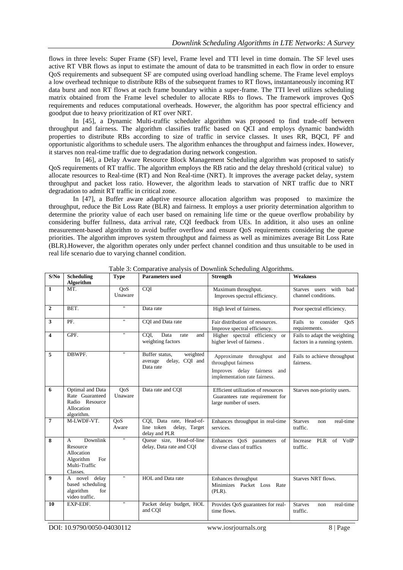flows in three levels: Super Frame (SF) level, Frame level and TTI level in time domain. The SF level uses active RT VBR flows as input to estimate the amount of data to be transmitted in each flow in order to ensure QoS requirements and subsequent SF are computed using overload handling scheme. The Frame level employs a low overhead technique to distribute RBs of the subsequent frames to RT flows, instantaneously incoming RT data burst and non RT flows at each frame boundary within a super-frame. The TTI level utilizes scheduling matrix obtained from the Frame level scheduler to allocate RBs to flows. The framework improves QoS requirements and reduces computational overheads. However, the algorithm has poor spectral efficiency and goodput due to heavy prioritization of RT over NRT.

In [45], a Dynamic Multi-traffic scheduler algorithm was proposed to find trade-off between throughput and fairness. The algorithm classifies traffic based on QCI and employs dynamic bandwidth properties to distribute RBs according to size of traffic in service classes. It uses RR, BQCI, PF and opportunistic algorithms to schedule users. The algorithm enhances the throughput and fairness index. However, it starves non real-time traffic due to degradation during network congestion.

In [46], a Delay Aware Resource Block Management Scheduling algorithm was proposed to satisfy QoS requirements of RT traffic. The algorithm employs the RB ratio and the delay threshold (critical value) to allocate resources to Real-time (RT) and Non Real-time (NRT). It improves the average packet delay, system throughput and packet loss ratio. However, the algorithm leads to starvation of NRT traffic due to NRT degradation to admit RT traffic in critical zone.

In [47], a Buffer aware adaptive resource allocation algorithm was proposed to maximize the throughput, reduce the Bit Loss Rate (BLR) and fairness. It employs a user priority determination algorithm to determine the priority value of each user based on remaining life time or the queue overflow probability by considering buffer fullness, data arrival rate, CQI feedback from UEs. In addition, it also uses an online measurement-based algorithm to avoid buffer overflow and ensure QoS requirements considering the queue priorities. The algorithm improves system throughput and fairness as well as minimizes average Bit Loss Rate (BLR).However, the algorithm operates only under perfect channel condition and thus unsuitable to be used in real life scenario due to varying channel condition.

| S/No                    | <b>Scheduling</b><br>Algorithm                                                                      | <b>Type</b>             | <b>Parameters used</b>                                                   | <b>Strength</b>                                                                                                         | <b>Weakness</b>                                              |
|-------------------------|-----------------------------------------------------------------------------------------------------|-------------------------|--------------------------------------------------------------------------|-------------------------------------------------------------------------------------------------------------------------|--------------------------------------------------------------|
| $\overline{1}$          | MT.                                                                                                 | QoS<br>Unaware          | CQI                                                                      | Maximum throughput.<br>Improves spectral efficiency.                                                                    | Starves users with bad<br>channel conditions.                |
| $\overline{2}$          | BET.                                                                                                | π                       | Data rate                                                                | High level of fairness.                                                                                                 | Poor spectral efficiency.                                    |
| $\mathbf{3}$            | PF.                                                                                                 | π                       | CQI and Data rate                                                        | Fair distribution of resources.<br>Improve spectral efficiency.                                                         | Fails to consider QoS<br>requirements.                       |
| $\overline{\mathbf{4}}$ | GPF.                                                                                                | $^{\prime\prime}$       | CQI,<br>Data<br>rate<br>and<br>weighting factors                         | Higher spectral efficiency or<br>higher level of fairness.                                                              | Fails to adapt the weighting<br>factors in a running system. |
| 5                       | DBWPF.                                                                                              | π                       | weighted<br>Buffer status,<br>delay, CQI and<br>average<br>Data rate     | Approximate throughput<br>and<br>throughput fairness<br>Improves delay fairness<br>and<br>implementation rate fairness. | Fails to achieve throughput<br>fairness.                     |
| 6                       | Optimal and Data<br>Rate Guaranteed<br>Radio Resource<br>Allocation<br>algorithm.                   | OoS<br>Unaware          | Data rate and COI                                                        | Efficient utilization of resources<br>Guarantees rate requirement for<br>large number of users.                         | Starves non-priority users.                                  |
| $\overline{7}$          | M-LWDF-VT.                                                                                          | OoS<br>Aware            | CQI, Data rate, Head-of-<br>line token<br>delay, Target<br>delay and PLR | Enhances throughput in real-time<br>services.                                                                           | <b>Starves</b><br>real-time<br>non<br>traffic.               |
| 8                       | Downlink<br>$\mathsf{A}$<br>Resource<br>Allocation<br>Algorithm<br>For<br>Multi-Traffic<br>Classes. | $^{\dagger}$            | Queue size, Head-of-line<br>delay, Data rate and CQI                     | Enhances OoS parameters<br>of<br>diverse class of traffics                                                              | Increase PLR<br>of VoIP<br>traffic.                          |
| $\boldsymbol{9}$        | A novel delay<br>based scheduling<br>algorithm<br>for<br>video traffic.                             | $\overline{\mathbf{u}}$ | HOL and Data rate                                                        | Enhances throughput<br>Minimizes Packet Loss Rate<br>$(PLR)$ .                                                          | Starves NRT flows.                                           |
| 10                      | EXP-EDF.                                                                                            | $\pmb{\mathsf{H}}$      | Packet delay budget, HOL<br>and COI                                      | Provides QoS guarantees for real-<br>time flows.                                                                        | <b>Starves</b><br>real-time<br>non<br>traffic.               |

Table 3: Comparative analysis of Downlink Scheduling Algorithms.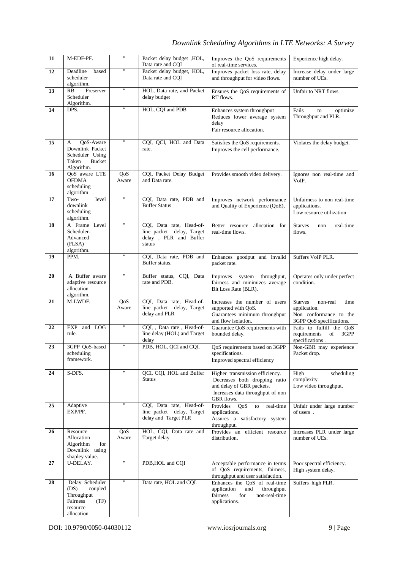# *Downlink Scheduling Algorithms in LTE Networks: A Survey*

| 11              | M-EDF-PF.                                                                                      | 11           | Packet delay budget , HOL,<br>Data rate and CQI                                          | Improves the QoS requirements<br>of real-time services.                                                                                         | Experience high delay.                                                                                   |
|-----------------|------------------------------------------------------------------------------------------------|--------------|------------------------------------------------------------------------------------------|-------------------------------------------------------------------------------------------------------------------------------------------------|----------------------------------------------------------------------------------------------------------|
| $\overline{12}$ | Deadline<br>based<br>scheduler<br>algorithm.                                                   | π            | Packet delay budget, HOL,<br>Data rate and COI                                           | Improves packet loss rate, delay<br>and throughput for video flows.                                                                             | Increase delay under large<br>number of UEs.                                                             |
| 13              | Preserver<br><b>RB</b><br>Scheduler<br>Algorithm.                                              | 11           | HOL, Data rate, and Packet<br>delay budget                                               | Ensures the QoS requirements of<br>RT flows.                                                                                                    | Unfair to NRT flows.                                                                                     |
| 14              | DPS.                                                                                           | π            | HOL, CQI and PDB                                                                         | Enhances system throughput<br>Reduces lower average system<br>delay<br>Fair resource allocation.                                                | Fails<br>to<br>optimize<br>Throughput and PLR.                                                           |
| 15              | QoS-Aware<br>A<br>Downlink Packet<br>Scheduler Using<br>Token<br><b>Bucket</b><br>Algorithm.   | π            | CQI, QCI, HOL and Data<br>rate.                                                          | Satisfies the QoS requirements.<br>Improves the cell performance.                                                                               | Violates the delay budget.                                                                               |
| 16              | QoS aware LTE<br><b>OFDMA</b><br>scheduling<br>algorithm.                                      | QoS<br>Aware | CQI, Packet Delay Budget<br>and Data rate.                                               | Provides smooth video delivery.                                                                                                                 | Ignores non real-time and<br>VoIP.                                                                       |
| 17              | Two-<br>level<br>downlink<br>scheduling<br>algorithm.                                          | π            | CQI, Data rate, PDB and<br><b>Buffer Status</b>                                          | Improves network performance<br>and Quality of Experience (QoE),                                                                                | Unfairness to non real-time<br>applications.<br>Low resource utilization                                 |
| 18              | A Frame Level<br>Scheduler-<br>Advanced<br>(FLSA)<br>algorithm.                                | π            | CQI, Data rate, Head-of-<br>line packet delay, Target<br>delay, PLR and Buffer<br>status | Better resource allocation for<br>real-time flows.                                                                                              | <b>Starves</b><br>real-time<br>non<br>flows.                                                             |
| 19              | PPM.                                                                                           | π            | CQI, Data rate, PDB and<br>Buffer status.                                                | Enhances goodput and invalid<br>packet rate.                                                                                                    | Suffers VoIP PLR.                                                                                        |
| 20              | A Buffer aware<br>adaptive resource<br>allocation<br>algorithm.                                | π            | Buffer status, CQI, Data<br>rate and PDB.                                                | Improves system throughput,<br>fairness and minimizes average<br>Bit Loss Rate (BLR).                                                           | Operates only under perfect<br>condition.                                                                |
| 21              | M-LWDF.                                                                                        | QoS<br>Aware | COI, Data rate, Head-of-<br>line packet delay, Target<br>delay and PLR                   | Increases the number of users<br>supported with QoS.<br>Guarantees minimum throughput<br>and flow isolation.                                    | <b>Starves</b><br>non-real<br>time<br>application.<br>Non conformance to the<br>3GPP QoS specifications. |
| 22              | <b>EXP</b><br>and LOG<br>rule.                                                                 | π            | CQI, , Data rate, Head-of-<br>line delay (HOL) and Target<br>delay                       | Guarantee QoS requirements with<br>bounded delay.                                                                                               | Fails to fulfill the OoS<br>requirements<br>of<br>3GPP<br>specifications.                                |
| 23              | 3GPP QoS-based<br>scheduling<br>framework.                                                     | 11           | PDB, HOL, QCI and CQI.                                                                   | OoS requirements based on 3GPP<br>specifications.<br>Improved spectral efficiency                                                               | Non-GBR may experience<br>Packet drop.                                                                   |
| 24              | S-DFS.                                                                                         |              | OCI, COI, HOL and Buffer<br><b>Status</b>                                                | Higher transmission efficiency.<br>Decreases both dropping ratio<br>and delay of GBR packets.<br>Increases data throughput of non<br>GBR flows. | High<br>scheduling<br>complexity.<br>Low video throughput.                                               |
| 25              | Adaptive<br>EXP/PF.                                                                            |              | COI, Data rate, Head-of-<br>line packet delay, Target<br>delay and Target PLR            | Provides<br>QoS<br>real-time<br>to<br>applications.<br>Assures a satisfactory system<br>throughput.                                             | Unfair under large number<br>of users.                                                                   |
| 26              | Resource<br>Allocation<br>Algorithm<br>for<br>Downlink using<br>shapley value.                 | QoS<br>Aware | HOL, CQI, Data rate and<br>Target delay                                                  | Provides an<br>efficient resource<br>distribution.                                                                                              | Increases PLR under large<br>number of UEs.                                                              |
| 27              | U-DELAY.                                                                                       | π            | PDB, HOL and CQI                                                                         | Acceptable performance in terms<br>of QoS requirements, fairness,<br>throughput and user satisfaction.                                          | Poor spectral efficiency.<br>High system delay.                                                          |
| 28              | Delay Scheduler<br>(DS)<br>coupled<br>Throughput<br>Fairness<br>(TF)<br>resource<br>allocation | Ħ            | Data rate, HOL and CQI.                                                                  | Enhances the QoS of real-time<br>application<br>throughput<br>and<br>fairness<br>for<br>non-real-time<br>applications.                          | Suffers high PLR.                                                                                        |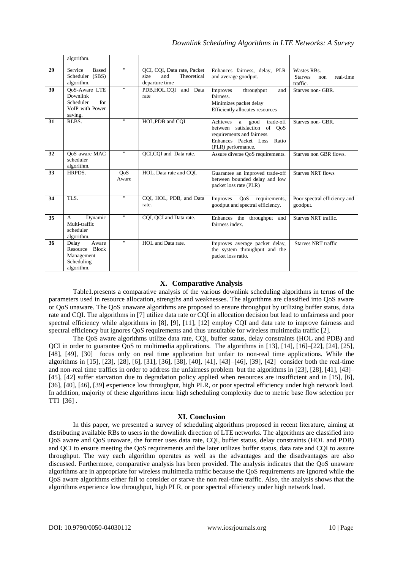|    | algorithm.                                                                  |                         |                                                                             |                                                                                                                                                          |                                                               |
|----|-----------------------------------------------------------------------------|-------------------------|-----------------------------------------------------------------------------|----------------------------------------------------------------------------------------------------------------------------------------------------------|---------------------------------------------------------------|
| 29 | Service<br><b>Based</b><br>Scheduler (SBS)<br>algorithm.                    | $\mathbf{H}$            | QCI, CQI, Data rate, Packet<br>Theoretical<br>size<br>and<br>departure time | Enhances fairness, delay, PLR<br>and average goodput.                                                                                                    | Wastes RBs.<br>real-time<br><b>Starves</b><br>non<br>traffic. |
| 30 | QoS-Aware LTE<br>Downlink<br>for<br>Scheduler<br>VoIP with Power<br>saving. | $\blacksquare$          | PDB, HOL.COI and Data<br>rate                                               | throughput<br>Improves<br>and<br>fairness.<br>Minimizes packet delay<br>Efficiently allocates resources                                                  | Starves non-GBR.                                              |
| 31 | RLBS.                                                                       | $\blacksquare$          | HOL, PDB and COI                                                            | Achieves<br>trade-off<br>good<br>a a<br>between satisfaction of OoS<br>requirements and fairness.<br>Enhances Packet Loss<br>Ratio<br>(PLR) performance. | Starves non-GBR.                                              |
| 32 | OoS aware MAC<br>scheduler<br>algorithm.                                    | $^{\prime\prime}$       | OCI, COI and Data rate.                                                     | Assure diverse OoS requirements.                                                                                                                         | Starves non GBR flows.                                        |
| 33 | HRPDS.                                                                      | QoS<br>Aware            | HOL, Data rate and COI.                                                     | Guarantee an improved trade-off<br>between bounded delay and low<br>packet loss rate (PLR)                                                               | <b>Starves NRT flows</b>                                      |
| 34 | $\overline{TLS}$                                                            | $\overline{\mathbf{u}}$ | CQI, HOL, PDB, and Data<br>rate.                                            | QoS<br>requirements,<br>Improves<br>goodput and spectral efficiency.                                                                                     | Poor spectral efficiency and<br>goodput.                      |
| 35 | Dynamic<br>$\mathsf{A}$<br>Multi-traffic<br>scheduler<br>algorithm.         | $^{\dagger}$            | COI, OCI and Data rate.                                                     | Enhances the<br>throughput and<br>fairness index.                                                                                                        | Starves NRT traffic.                                          |
| 36 | Delay<br>Aware<br>Resource Block<br>Management<br>Scheduling<br>algorithm.  | $^{\dagger}$            | HOL and Data rate.                                                          | Improves average packet delay,<br>the system throughput and the<br>packet loss ratio.                                                                    | <b>Starves NRT</b> traffic                                    |

#### **X. Comparative Analysis**

Table1.presents a comparative analysis of the various downlink scheduling algorithms in terms of the parameters used in resource allocation, strengths and weaknesses. The algorithms are classified into QoS aware or QoS unaware. The QoS unaware algorithms are proposed to ensure throughput by utilizing buffer status, data rate and CQI. The algorithms in [7] utilize data rate or CQI in allocation decision but lead to unfairness and poor spectral efficiency while algorithms in [8], [9], [11], [12] employ CQI and data rate to improve fairness and spectral efficiency but ignores QoS requirements and thus unsuitable for wireless multimedia traffic [2].

The QoS aware algorithms utilize data rate, CQI, buffer status, delay constraints (HOL and PDB) and QCI in order to guarantee QoS to multimedia applications. The algorithms in [13], [14], [16]–[22], [24], [25], [48], [49], [30] focus only on real time application but unfair to non-real time applications. While the algorithms in [15], [23], [28], [6], [31], [36], [38], [40], [41], [43]–[46], [39], [42] consider both the real-time and non-real time traffics in order to address the unfairness problem but the algorithms in [23], [28], [41], [43]– [45], [42] suffer starvation due to degradation policy applied when resources are insufficient and in [15], [6], [36], [40], [46], [39] experience low throughput, high PLR, or poor spectral efficiency under high network load. In addition, majority of these algorithms incur high scheduling complexity due to metric base flow selection per TTI [36] .

### **XI. Conclusion**

In this paper, we presented a survey of scheduling algorithms proposed in recent literature, aiming at distributing available RBs to users in the downlink direction of LTE networks. The algorithms are classified into QoS aware and QoS unaware, the former uses data rate, CQI, buffer status, delay constraints (HOL and PDB) and QCI to ensure meeting the QoS requirements and the later utilizes buffer status, data rate and CQI to assure throughput. The way each algorithm operates as well as the advantages and the disadvantages are also discussed. Furthermore, comparative analysis has been provided. The analysis indicates that the QoS unaware algorithms are in appropriate for wireless multimedia traffic because the QoS requirements are ignored while the QoS aware algorithms either fail to consider or starve the non real-time traffic. Also, the analysis shows that the algorithms experience low throughput, high PLR, or poor spectral efficiency under high network load.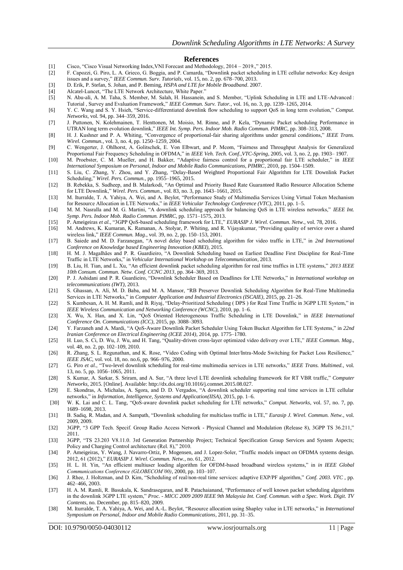#### **References**

- [1] Cisco, "Cisco Visual Networking Index,VNI Forecast and Methodology, 2014 2019.," 2015.
- [2] F. Capozzi, G. Piro, L. A. Grieco, G. Boggia, and P. Camarda, "Downlink packet scheduling in LTE cellular networks: Key design issues and a survey," *IEEE Commun. Surv. Tutorials*, vol. 15, no. 2, pp. 678–700, 2013.
- [3] D. Erik, P. Stefan, S. Johan, and P. Beming, *HSPA and LTE for Mobile Broadband*. 2007.
- [4] Alcatel-Luncet, "The LTE Network Architecture, White Paper."
- [5] N. Abu-ali, A. M. Taha, S. Member, M. Salah, H. Hassanein, and S. Member, "Uplink Scheduling in LTE and LTE-Advanced : Tutorial , Survey and Evaluation Framework," *IEEE Commun. Surv. Tutor.*, vol. 16, no. 3, pp. 1239–1265, 2014.
- [6] Y. C. Wang and S. Y. Hsieh, "Service-differentiated downlink flow scheduling to support QoS in long term evolution," *Comput. Networks*, vol. 94, pp. 344–359, 2016.
- [7] J. Puttonen, N. Kolehmainen, T. Henttonen, M. Moisio, M. Rinne, and P. Kela, "Dynamic Packet scheduling Performance in UTRAN long term evolution downlink," *IEEE Int. Symp. Pers. Indoor Mob. Radio Commun. PIMRC*, pp. 308–313, 2008.
- [8] H. J. Kushner and P. A. Whiting, "Convergence of proportional-fair sharing algorithms under general conditions," *IEEE Trans. Wirel. Commun.*, vol. 3, no. 4, pp. 1250–1259, 2004.
- [9] C. Wengerter, J. Ohlhorst, A. Golitschek, E. Von Elbwart, and P. Mcom, "Fairness and Throughput Analysis for Generalized Proportional Fair Frequency Scheduling in OFDMA," in *IEEE Veh. Tech. Conf.,VTC-Spring*, 2005, vol. 3, no. 2, pp. 1903– 1907.
- [10] M. Proebster, C. M. Mueller, and H. Bakker, "Adaptive fairness control for a proportional fair LTE scheduler," in *IEEE International Symposium on Personal, Indoor and Mobile Radio Communications, PIMRC*, 2010, pp. 1504–1509.
- [11] S. Liu, C. Zhang, Y. Zhou, and Y. Zhang, "Delay-Based Weighted Proportional Fair Algorithm for LTE Downlink Packet Scheduling," *Wirel. Pers. Commun.*, pp. 1955–1965, 2015.
- [12] B. Rebekka, S. Sudheep, and B. Malarkodi, "An Optimal and Priority Based Rate Guaranteed Radio Resource Allocation Scheme for LTE Downlink," *Wirel. Pers. Commun.*, vol. 83, no. 3, pp. 1643–1661, 2015.
- [13] M. Iturralde, T. A. Yahiya, A. Wei, and A. Beylot, "Performance Study of Multimedia Services Using Virtual Token Mechanism for Resource Allocation in LTE Networks," in *IEEE Vehicular Technology Conference (VTC)*, 2011, pp. 1–5.
- [14] M. M. Nasralla and M. G. Martini, "A downlink scheduling approach for balancing QoS in LTE wireless networks," *IEEE Int. Symp. Pers. Indoor Mob. Radio Commun. PIMRC*, pp. 1571–1575, 2013.
- [15] P. Ameigeiras *et al.*, "3GPP QoS-based scheduling framework for LTE," *EURASIP J. Wirel. Commun. Netw.*, vol. 78, 2016.
- [16] M. Andrews, K. Kumaran, K. Ramanan, A. Stolyar, P. Whiting, and R. Vijayakumar, "Providing quality of service over a shared wireless link," *IEEE Commun. Mag.*, vol. 39, no. 2, pp. 150–153, 2001.
- [17] B. Saiede and M. D. Farzanegan, "A novel delay based scheduling algorithm for video traffic in LTE," in *2nd International Conference on Knowledge based Engineering Innovation (KBEI)*, 2015.
- [18] H. M. J. Magalhães and P. R. Guardieiro, "A Downlink Scheduling based on Earliest Deadline First Discipline for Real-Time Traffic in LTE Networks," in *Vehicular International Workshop on Telecommunication*, 2013.
- [19] B. Liu, H. Tian, and L. Xu, "An efficient downlink packet scheduling algorithm for real time traffics in LTE systems," *2013 IEEE 10th Consum. Commun. Netw. Conf. CCNC 2013*, pp. 364–369, 2013.
- [20] P. J. Ashidani and P. R. Guardieiro, "Downlink Scheduler Based on Deadlines for LTE Networks," in *International workshop on telecommunications (IWT)*, 2013.
- [21] S. Ghassan, A. Ali, M. D. Baba, and M. A. Mansor, "RB Preserver Downlink Scheduling Algorithm for Real-Time Multimedia Services in LTE Networks," in *Computer Application and Industrial Electronics (ISCAIE)*, 2015, pp. 21–26.
- [22] S. Kumbesan, A. H. M. Ramli, and B. Riyaj, "Delay-Prioritized Scheduling ( DPS ) for Real Time Traffic in 3GPP LTE System," in *IEEE Wireless Communication and Networking Conference (WCNC)*, 2010, pp. 1–6.
- [23] X. Wu, X. Han, and X. Lin, "QoS Oriented Heterogeneous Traffic Scheduling in LTE Downlink," in *IEEE International Conference On. Communications (ICC)*, 2015, pp. 3088–3093.
- [24] Y. Farzaneh and A. Mardi, "A QoS-Aware Downlink Packet Scheduler Using Token Bucket Algorithm for LTE Systems," in *22nd Iranian Conference on Electrical Engineering (ICEE 2014)*, 2014, pp. 1775–1780.
- [25] H. Luo, S. Ci, D. Wu, J. Wu, and H. Tang, "Quality-driven cross-layer optimized video delivery over LTE," *IEEE Commun. Mag.*, vol. 48, no. 2, pp. 102–109, 2010.
- [26] R. Zhang, S. L. Regunathan, and K. Rose, "Video Coding with Optimal Inter/Intra-Mode Switching for Packet Loss Resilience," *IEEE JSAC*, vol. vol. 18, no. no.6, pp. 966–976, 2000.
- [27] G. Piro *et al.*, "Two-level downlink scheduling for real-time multimedia services in LTE networks," *IEEE Trans. Multimed.*, vol. 13, no. 5, pp. 1056–1065, 2011.
- [28] S. Kumar, A. Sarkar, S. Sriram, and A. Sur, "A three level LTE downlink scheduling framework for RT VBR traffic," *Computer Networks*, 2015. [Online]. Available: http://dx.doi.org/10.1016/j.comnet.2015.08.027.
- [29] E. Skondras, A. Michalas, A. Sgora, and D. D. Vergados, "A downlink scheduler supporting real time services in LTE cellular networks," in *Information, Intelligence, Systems and Application(IISA)*, 2015, pp. 1–6.
- [30] W. K. Lai and C. L. Tang, "QoS-aware downlink packet scheduling for LTE networks," *Comput. Networks*, vol. 57, no. 7, pp. 1689–1698, 2013.
- [31] B. Sadiq, R. Madan, and A. Sampath, "Downlink scheduling for multiclass traffic in LTE," *Eurasip J. Wirel. Commun. Netw.*, vol. 2009, 2009.
- [32] 3GPP, "3 GPP Tech. Specif. Group Radio Access Network Physical Channel and Modulation (Release 8), 3GPP TS 36.211," 2011.
- [33] 3GPP, "TS 23.203 V8.11.0. 3rd Generation Partnership Project; Technical Specification Group Services and System Aspects; Policy and Charging Control architecture (Rel. 8)," 2010.
- [34] P. Ameigeiras, Y. Wang, J. Navarro-Ortiz, P. Mogensen, and J. Lopez-Soler, "Traffic models impact on OFDMA systems design. 2012, 61 (2012)," *EURASIP J. Wirel. Commun. Netw.*, no. 61, 2012.
- [35] H. L. H. Yin, "An efficient multiuser loading algorithm for OFDM-based broadband wireless systems," in *in IEEE Global Communications Conference (GLOBECOM'00)*, 2000, pp. 103–107.
- [36] J. Rhee, J. Holtzman, and D. Kim, "Scheduling of real/non-real time services: adaptive EXP/PF algorithm," *Conf. 2003. VTC* , pp. 462–466, 2003.
- [37] H. A. M. Ramli, R. Basukala, K. Sandrasegaran, and R. Patachaianand, "Performance of well known packet scheduling algorithms in the downlink 3GPP LTE system," *Proc. - MICC 2009 2009 IEEE 9th Malaysia Int. Conf. Commun. with a Spec. Work. Digit. TV Contents*, no. December, pp. 815–820, 2009.
- [38] M. Iturralde, T. A. Yahiya, A. Wei, and A.-L. Beylot, "Resource allocation using Shapley value in LTE networks," in *International Symposium on Personal, Indoor and Mobile Radio Communications*, 2011, pp. 31–35.